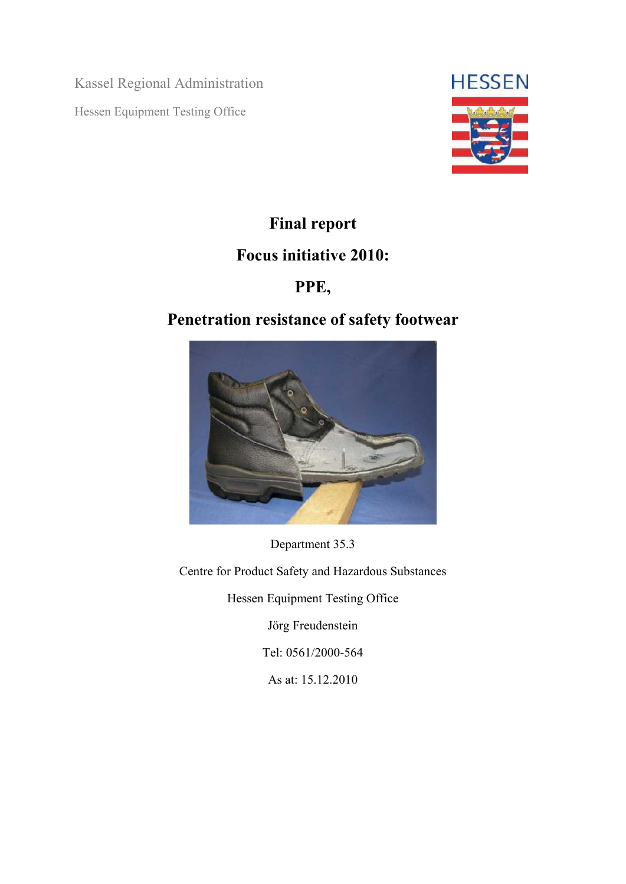Kassel Regional Administration Hessen Equipment Testing Office



# **Final report**

## **Focus initiative 2010:**

## **PPE,**

## **Penetration resistance of safety footwear**



Department 35.3

Centre for Product Safety and Hazardous Substances

Hessen Equipment Testing Office

Jörg Freudenstein

Tel: 0561/2000-564

As at: 15.12.2010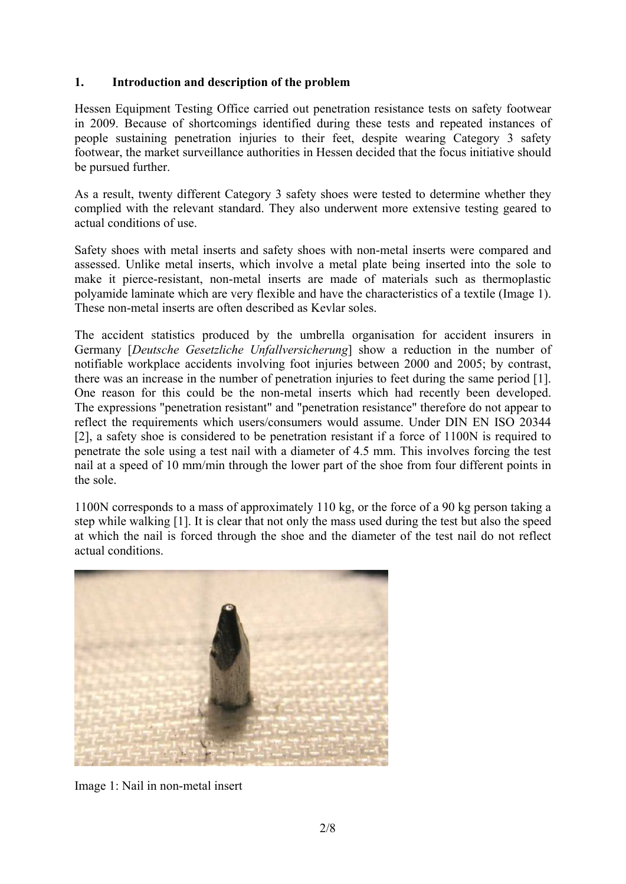#### **1. Introduction and description of the problem**

Hessen Equipment Testing Office carried out penetration resistance tests on safety footwear in 2009. Because of shortcomings identified during these tests and repeated instances of people sustaining penetration injuries to their feet, despite wearing Category 3 safety footwear, the market surveillance authorities in Hessen decided that the focus initiative should be pursued further.

As a result, twenty different Category 3 safety shoes were tested to determine whether they complied with the relevant standard. They also underwent more extensive testing geared to actual conditions of use.

Safety shoes with metal inserts and safety shoes with non-metal inserts were compared and assessed. Unlike metal inserts, which involve a metal plate being inserted into the sole to make it pierce-resistant, non-metal inserts are made of materials such as thermoplastic polyamide laminate which are very flexible and have the characteristics of a textile (Image 1). These non-metal inserts are often described as Kevlar soles.

The accident statistics produced by the umbrella organisation for accident insurers in Germany [*Deutsche Gesetzliche Unfallversicherung*] show a reduction in the number of notifiable workplace accidents involving foot injuries between 2000 and 2005; by contrast, there was an increase in the number of penetration injuries to feet during the same period [1]. One reason for this could be the non-metal inserts which had recently been developed. The expressions "penetration resistant" and "penetration resistance" therefore do not appear to reflect the requirements which users/consumers would assume. Under DIN EN ISO 20344 [2], a safety shoe is considered to be penetration resistant if a force of 1100N is required to penetrate the sole using a test nail with a diameter of 4.5 mm. This involves forcing the test nail at a speed of 10 mm/min through the lower part of the shoe from four different points in the sole.

1100N corresponds to a mass of approximately 110 kg, or the force of a 90 kg person taking a step while walking [1]. It is clear that not only the mass used during the test but also the speed at which the nail is forced through the shoe and the diameter of the test nail do not reflect actual conditions.



Image 1: Nail in non-metal insert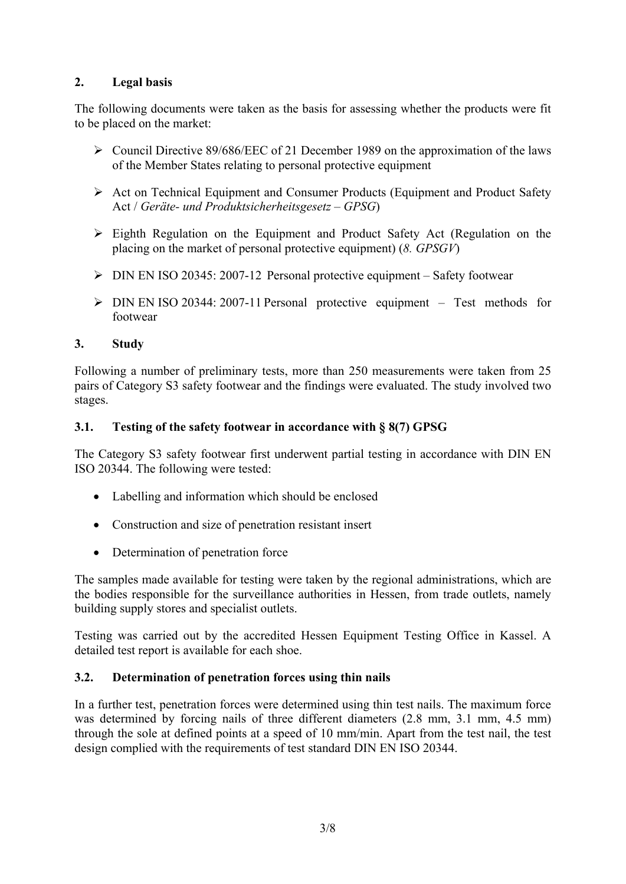### **2. Legal basis**

The following documents were taken as the basis for assessing whether the products were fit to be placed on the market:

- ¾ Council Directive 89/686/EEC of 21 December 1989 on the approximation of the laws of the Member States relating to personal protective equipment
- ¾ Act on Technical Equipment and Consumer Products (Equipment and Product Safety Act / *Geräte- und Produktsicherheitsgesetz – GPSG*)
- $\triangleright$  Eighth Regulation on the Equipment and Product Safety Act (Regulation on the placing on the market of personal protective equipment) (*8. GPSGV*)
- $\triangleright$  DIN EN ISO 20345: 2007-12 Personal protective equipment Safety footwear
- $\triangleright$  DIN EN ISO 20344: 2007-11 Personal protective equipment Test methods for footwear

#### **3. Study**

Following a number of preliminary tests, more than 250 measurements were taken from 25 pairs of Category S3 safety footwear and the findings were evaluated. The study involved two stages.

#### **3.1. Testing of the safety footwear in accordance with § 8(7) GPSG**

The Category S3 safety footwear first underwent partial testing in accordance with DIN EN ISO 20344. The following were tested:

- Labelling and information which should be enclosed
- Construction and size of penetration resistant insert
- Determination of penetration force

The samples made available for testing were taken by the regional administrations, which are the bodies responsible for the surveillance authorities in Hessen, from trade outlets, namely building supply stores and specialist outlets.

Testing was carried out by the accredited Hessen Equipment Testing Office in Kassel. A detailed test report is available for each shoe.

#### **3.2. Determination of penetration forces using thin nails**

In a further test, penetration forces were determined using thin test nails. The maximum force was determined by forcing nails of three different diameters (2.8 mm, 3.1 mm, 4.5 mm) through the sole at defined points at a speed of 10 mm/min. Apart from the test nail, the test design complied with the requirements of test standard DIN EN ISO 20344.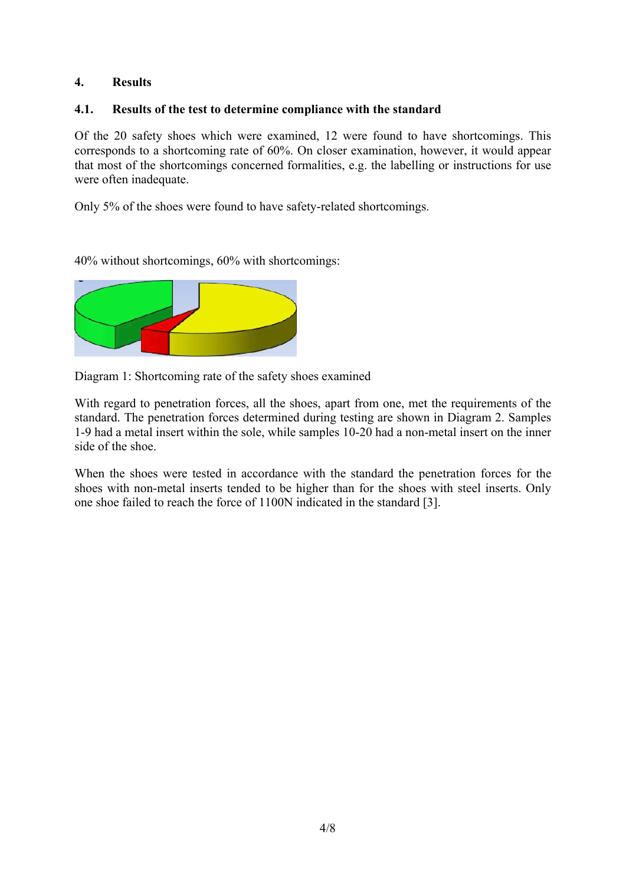#### **4. Results**

#### **4.1. Results of the test to determine compliance with the standard**

Of the 20 safety shoes which were examined, 12 were found to have shortcomings. This corresponds to a shortcoming rate of 60%. On closer examination, however, it would appear that most of the shortcomings concerned formalities, e.g. the labelling or instructions for use were often inadequate.

Only 5% of the shoes were found to have safety-related shortcomings.

40% without shortcomings, 60% with shortcomings:



Diagram 1: Shortcoming rate of the safety shoes examined

With regard to penetration forces, all the shoes, apart from one, met the requirements of the standard. The penetration forces determined during testing are shown in Diagram 2. Samples 1-9 had a metal insert within the sole, while samples 10-20 had a non-metal insert on the inner side of the shoe.

When the shoes were tested in accordance with the standard the penetration forces for the shoes with non-metal inserts tended to be higher than for the shoes with steel inserts. Only one shoe failed to reach the force of 1100N indicated in the standard [3].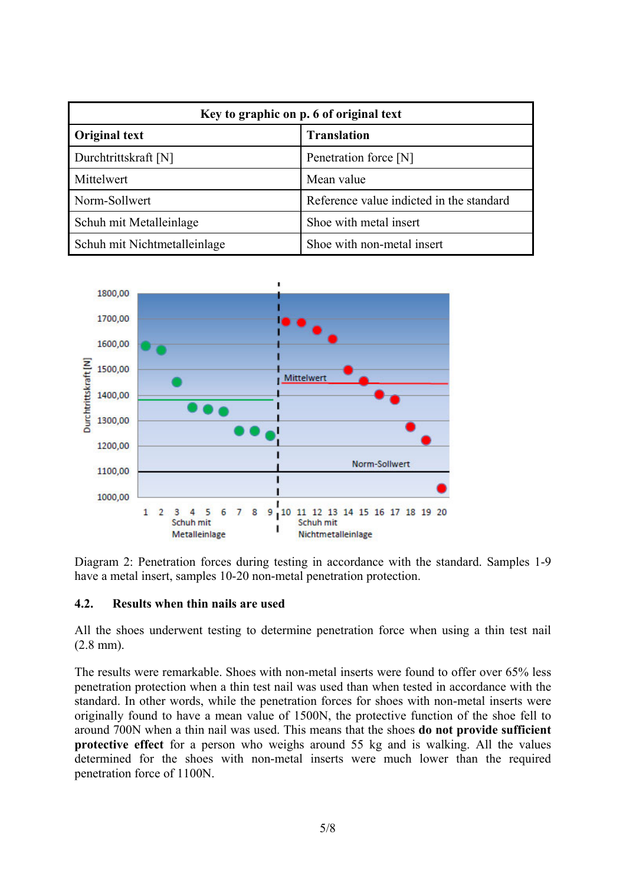| Key to graphic on p. 6 of original text |                                          |  |
|-----------------------------------------|------------------------------------------|--|
| <b>Original text</b>                    | <b>Translation</b>                       |  |
| Durchtrittskraft [N]                    | Penetration force [N]                    |  |
| Mittelwert                              | Mean value                               |  |
| Norm-Sollwert                           | Reference value indicted in the standard |  |
| Schuh mit Metalleinlage                 | Shoe with metal insert                   |  |
| Schuh mit Nichtmetalleinlage            | Shoe with non-metal insert               |  |



Diagram 2: Penetration forces during testing in accordance with the standard. Samples 1-9 have a metal insert, samples 10-20 non-metal penetration protection.

#### **4.2. Results when thin nails are used**

All the shoes underwent testing to determine penetration force when using a thin test nail (2.8 mm).

The results were remarkable. Shoes with non-metal inserts were found to offer over 65% less penetration protection when a thin test nail was used than when tested in accordance with the standard. In other words, while the penetration forces for shoes with non-metal inserts were originally found to have a mean value of 1500N, the protective function of the shoe fell to around 700N when a thin nail was used. This means that the shoes **do not provide sufficient protective effect** for a person who weighs around 55 kg and is walking. All the values determined for the shoes with non-metal inserts were much lower than the required penetration force of 1100N.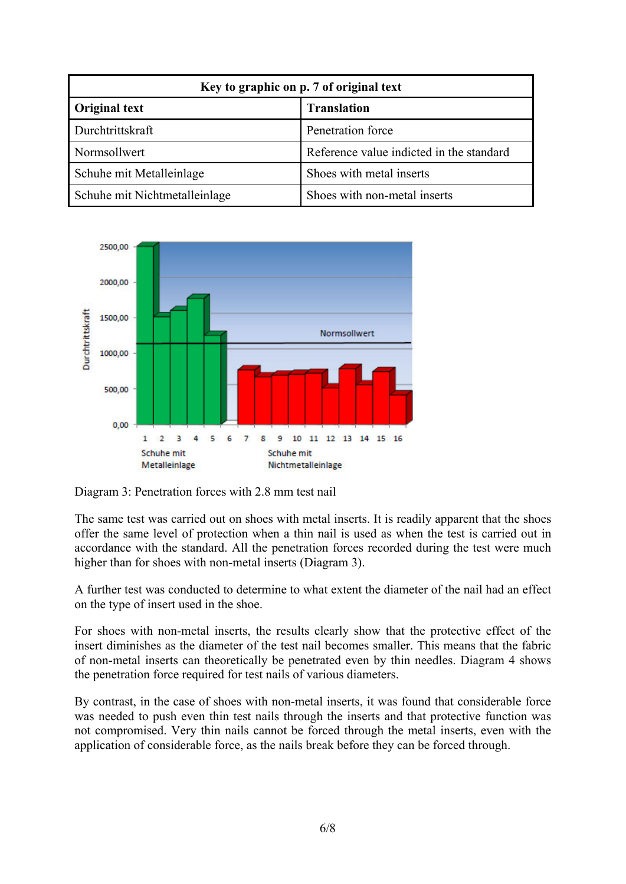| Key to graphic on p. 7 of original text |                                          |  |
|-----------------------------------------|------------------------------------------|--|
| <b>Original text</b>                    | <b>Translation</b>                       |  |
| Durchtrittskraft                        | Penetration force                        |  |
| Normsollwert                            | Reference value indicted in the standard |  |
| Schuhe mit Metalleinlage                | Shoes with metal inserts                 |  |
| Schuhe mit Nichtmetalleinlage           | Shoes with non-metal inserts             |  |



Diagram 3: Penetration forces with 2.8 mm test nail

The same test was carried out on shoes with metal inserts. It is readily apparent that the shoes offer the same level of protection when a thin nail is used as when the test is carried out in accordance with the standard. All the penetration forces recorded during the test were much higher than for shoes with non-metal inserts (Diagram 3).

A further test was conducted to determine to what extent the diameter of the nail had an effect on the type of insert used in the shoe.

For shoes with non-metal inserts, the results clearly show that the protective effect of the insert diminishes as the diameter of the test nail becomes smaller. This means that the fabric of non-metal inserts can theoretically be penetrated even by thin needles. Diagram 4 shows the penetration force required for test nails of various diameters.

By contrast, in the case of shoes with non-metal inserts, it was found that considerable force was needed to push even thin test nails through the inserts and that protective function was not compromised. Very thin nails cannot be forced through the metal inserts, even with the application of considerable force, as the nails break before they can be forced through.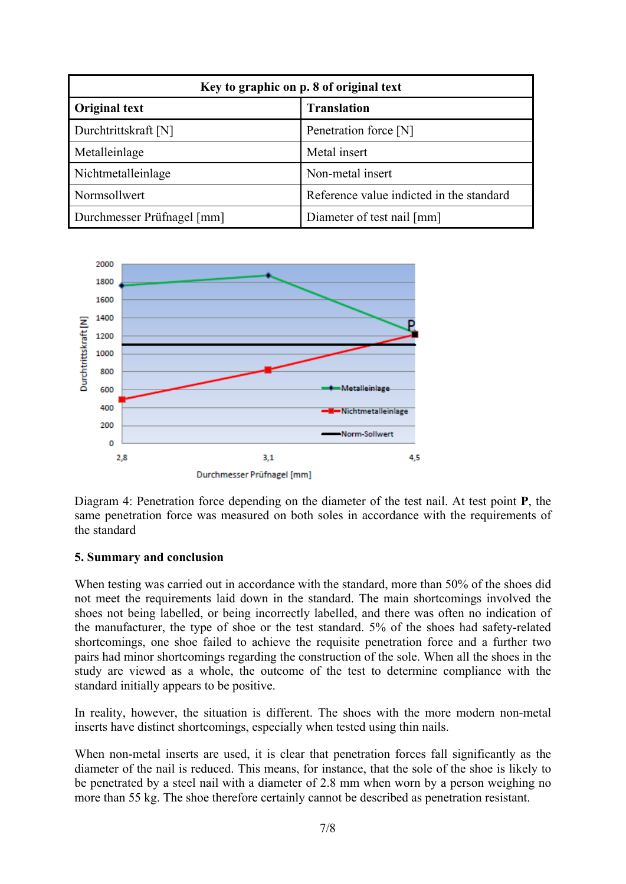| Key to graphic on p. 8 of original text |                                          |  |
|-----------------------------------------|------------------------------------------|--|
| Original text                           | <b>Translation</b>                       |  |
| Durchtrittskraft [N]                    | Penetration force [N]                    |  |
| Metalleinlage                           | Metal insert                             |  |
| Nichtmetalleinlage                      | Non-metal insert                         |  |
| Normsollwert                            | Reference value indicted in the standard |  |
| Durchmesser Prüfnagel [mm]              | Diameter of test nail [mm]               |  |



Diagram 4: Penetration force depending on the diameter of the test nail. At test point **P**, the same penetration force was measured on both soles in accordance with the requirements of the standard

#### **5. Summary and conclusion**

When testing was carried out in accordance with the standard, more than 50% of the shoes did not meet the requirements laid down in the standard. The main shortcomings involved the shoes not being labelled, or being incorrectly labelled, and there was often no indication of the manufacturer, the type of shoe or the test standard. 5% of the shoes had safety-related shortcomings, one shoe failed to achieve the requisite penetration force and a further two pairs had minor shortcomings regarding the construction of the sole. When all the shoes in the study are viewed as a whole, the outcome of the test to determine compliance with the standard initially appears to be positive.

In reality, however, the situation is different. The shoes with the more modern non-metal inserts have distinct shortcomings, especially when tested using thin nails.

When non-metal inserts are used, it is clear that penetration forces fall significantly as the diameter of the nail is reduced. This means, for instance, that the sole of the shoe is likely to be penetrated by a steel nail with a diameter of 2.8 mm when worn by a person weighing no more than 55 kg. The shoe therefore certainly cannot be described as penetration resistant.